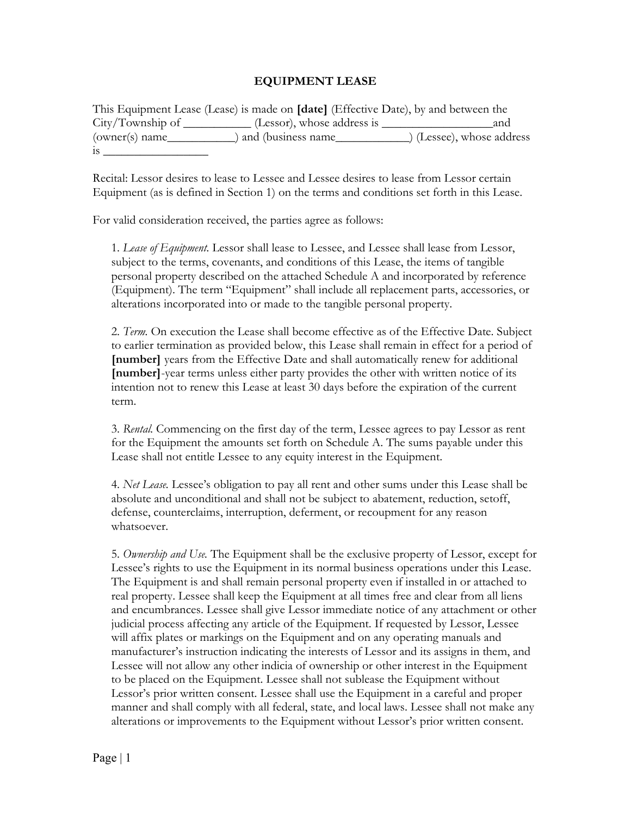## **EQUIPMENT LEASE**

| This Equipment Lease (Lease) is made on <b>[date]</b> (Effective Date), by and between the |                                                     |                         |
|--------------------------------------------------------------------------------------------|-----------------------------------------------------|-------------------------|
| City/Township of<br>the control of the control of                                          | (Lessor), whose address is $\overline{\phantom{a}}$ | and                     |
| (owner(s) name                                                                             | and (business name                                  | (Lessee), whose address |
| 1S                                                                                         |                                                     |                         |

Recital: Lessor desires to lease to Lessee and Lessee desires to lease from Lessor certain Equipment (as is defined in Section 1) on the terms and conditions set forth in this Lease.

For valid consideration received, the parties agree as follows:

1. *Lease of Equipment.* Lessor shall lease to Lessee, and Lessee shall lease from Lessor, subject to the terms, covenants, and conditions of this Lease, the items of tangible personal property described on the attached Schedule A and incorporated by reference (Equipment). The term "Equipment" shall include all replacement parts, accessories, or alterations incorporated into or made to the tangible personal property.

2. *Term.* On execution the Lease shall become effective as of the Effective Date. Subject to earlier termination as provided below, this Lease shall remain in effect for a period of **[number]** years from the Effective Date and shall automatically renew for additional **[number]**-year terms unless either party provides the other with written notice of its intention not to renew this Lease at least 30 days before the expiration of the current term.

3. *Rental.* Commencing on the first day of the term, Lessee agrees to pay Lessor as rent for the Equipment the amounts set forth on Schedule A. The sums payable under this Lease shall not entitle Lessee to any equity interest in the Equipment.

4. *Net Lease.* Lessee's obligation to pay all rent and other sums under this Lease shall be absolute and unconditional and shall not be subject to abatement, reduction, setoff, defense, counterclaims, interruption, deferment, or recoupment for any reason whatsoever.

5. *Ownership and Use.* The Equipment shall be the exclusive property of Lessor, except for Lessee's rights to use the Equipment in its normal business operations under this Lease. The Equipment is and shall remain personal property even if installed in or attached to real property. Lessee shall keep the Equipment at all times free and clear from all liens and encumbrances. Lessee shall give Lessor immediate notice of any attachment or other judicial process affecting any article of the Equipment. If requested by Lessor, Lessee will affix plates or markings on the Equipment and on any operating manuals and manufacturer's instruction indicating the interests of Lessor and its assigns in them, and Lessee will not allow any other indicia of ownership or other interest in the Equipment to be placed on the Equipment. Lessee shall not sublease the Equipment without Lessor's prior written consent. Lessee shall use the Equipment in a careful and proper manner and shall comply with all federal, state, and local laws. Lessee shall not make any alterations or improvements to the Equipment without Lessor's prior written consent.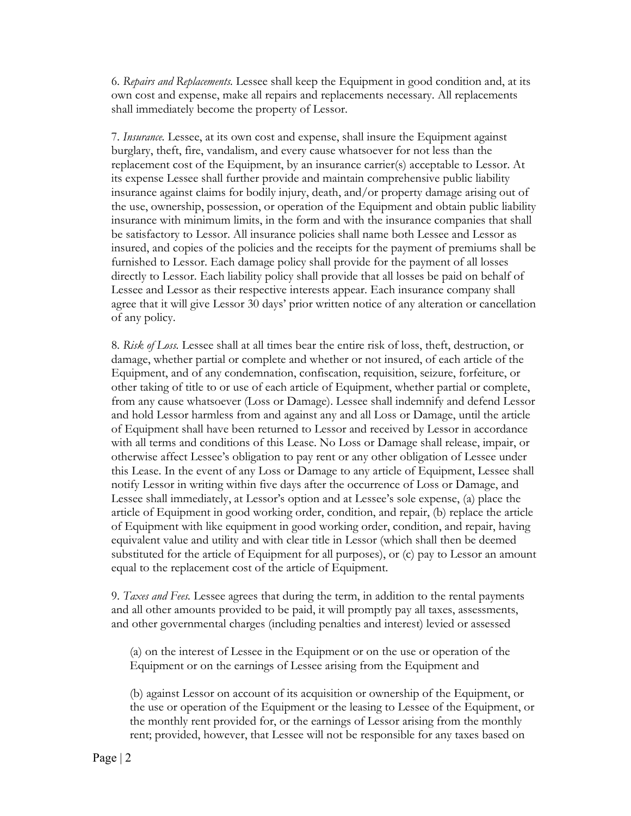6. *Repairs and Replacements.* Lessee shall keep the Equipment in good condition and, at its own cost and expense, make all repairs and replacements necessary. All replacements shall immediately become the property of Lessor.

7. *Insurance.* Lessee, at its own cost and expense, shall insure the Equipment against burglary, theft, fire, vandalism, and every cause whatsoever for not less than the replacement cost of the Equipment, by an insurance carrier(s) acceptable to Lessor. At its expense Lessee shall further provide and maintain comprehensive public liability insurance against claims for bodily injury, death, and/or property damage arising out of the use, ownership, possession, or operation of the Equipment and obtain public liability insurance with minimum limits, in the form and with the insurance companies that shall be satisfactory to Lessor. All insurance policies shall name both Lessee and Lessor as insured, and copies of the policies and the receipts for the payment of premiums shall be furnished to Lessor. Each damage policy shall provide for the payment of all losses directly to Lessor. Each liability policy shall provide that all losses be paid on behalf of Lessee and Lessor as their respective interests appear. Each insurance company shall agree that it will give Lessor 30 days' prior written notice of any alteration or cancellation of any policy.

8. *Risk of Loss.* Lessee shall at all times bear the entire risk of loss, theft, destruction, or damage, whether partial or complete and whether or not insured, of each article of the Equipment, and of any condemnation, confiscation, requisition, seizure, forfeiture, or other taking of title to or use of each article of Equipment, whether partial or complete, from any cause whatsoever (Loss or Damage). Lessee shall indemnify and defend Lessor and hold Lessor harmless from and against any and all Loss or Damage, until the article of Equipment shall have been returned to Lessor and received by Lessor in accordance with all terms and conditions of this Lease. No Loss or Damage shall release, impair, or otherwise affect Lessee's obligation to pay rent or any other obligation of Lessee under this Lease. In the event of any Loss or Damage to any article of Equipment, Lessee shall notify Lessor in writing within five days after the occurrence of Loss or Damage, and Lessee shall immediately, at Lessor's option and at Lessee's sole expense, (a) place the article of Equipment in good working order, condition, and repair, (b) replace the article of Equipment with like equipment in good working order, condition, and repair, having equivalent value and utility and with clear title in Lessor (which shall then be deemed substituted for the article of Equipment for all purposes), or (c) pay to Lessor an amount equal to the replacement cost of the article of Equipment.

9. *Taxes and Fees.* Lessee agrees that during the term, in addition to the rental payments and all other amounts provided to be paid, it will promptly pay all taxes, assessments, and other governmental charges (including penalties and interest) levied or assessed

(a) on the interest of Lessee in the Equipment or on the use or operation of the Equipment or on the earnings of Lessee arising from the Equipment and

(b) against Lessor on account of its acquisition or ownership of the Equipment, or the use or operation of the Equipment or the leasing to Lessee of the Equipment, or the monthly rent provided for, or the earnings of Lessor arising from the monthly rent; provided, however, that Lessee will not be responsible for any taxes based on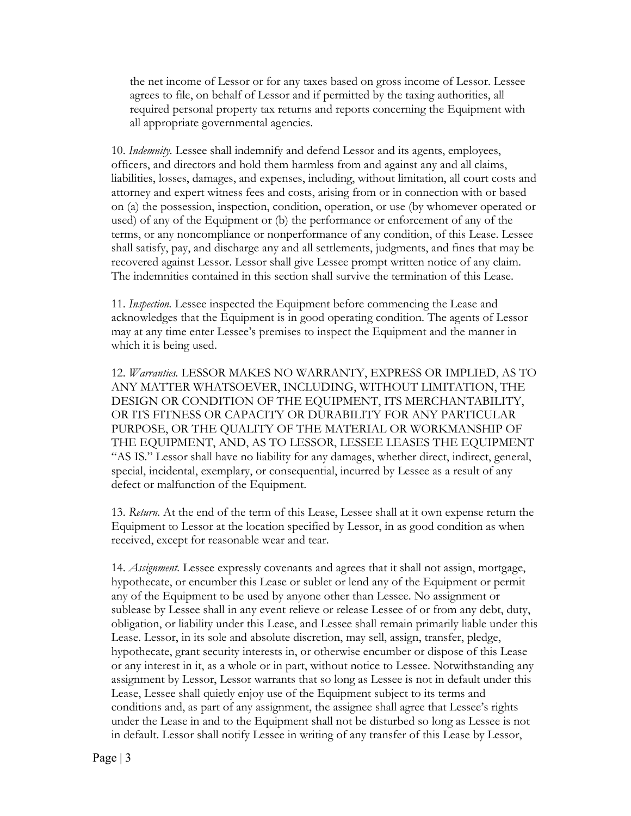the net income of Lessor or for any taxes based on gross income of Lessor. Lessee agrees to file, on behalf of Lessor and if permitted by the taxing authorities, all required personal property tax returns and reports concerning the Equipment with all appropriate governmental agencies.

10. *Indemnity.* Lessee shall indemnify and defend Lessor and its agents, employees, officers, and directors and hold them harmless from and against any and all claims, liabilities, losses, damages, and expenses, including, without limitation, all court costs and attorney and expert witness fees and costs, arising from or in connection with or based on (a) the possession, inspection, condition, operation, or use (by whomever operated or used) of any of the Equipment or (b) the performance or enforcement of any of the terms, or any noncompliance or nonperformance of any condition, of this Lease. Lessee shall satisfy, pay, and discharge any and all settlements, judgments, and fines that may be recovered against Lessor. Lessor shall give Lessee prompt written notice of any claim. The indemnities contained in this section shall survive the termination of this Lease.

11. *Inspection.* Lessee inspected the Equipment before commencing the Lease and acknowledges that the Equipment is in good operating condition. The agents of Lessor may at any time enter Lessee's premises to inspect the Equipment and the manner in which it is being used.

12. *Warranties.* LESSOR MAKES NO WARRANTY, EXPRESS OR IMPLIED, AS TO ANY MATTER WHATSOEVER, INCLUDING, WITHOUT LIMITATION, THE DESIGN OR CONDITION OF THE EQUIPMENT, ITS MERCHANTABILITY, OR ITS FITNESS OR CAPACITY OR DURABILITY FOR ANY PARTICULAR PURPOSE, OR THE QUALITY OF THE MATERIAL OR WORKMANSHIP OF THE EQUIPMENT, AND, AS TO LESSOR, LESSEE LEASES THE EQUIPMENT "AS IS." Lessor shall have no liability for any damages, whether direct, indirect, general, special, incidental, exemplary, or consequential, incurred by Lessee as a result of any defect or malfunction of the Equipment.

13. *Return.* At the end of the term of this Lease, Lessee shall at it own expense return the Equipment to Lessor at the location specified by Lessor, in as good condition as when received, except for reasonable wear and tear.

14. *Assignment.* Lessee expressly covenants and agrees that it shall not assign, mortgage, hypothecate, or encumber this Lease or sublet or lend any of the Equipment or permit any of the Equipment to be used by anyone other than Lessee. No assignment or sublease by Lessee shall in any event relieve or release Lessee of or from any debt, duty, obligation, or liability under this Lease, and Lessee shall remain primarily liable under this Lease. Lessor, in its sole and absolute discretion, may sell, assign, transfer, pledge, hypothecate, grant security interests in, or otherwise encumber or dispose of this Lease or any interest in it, as a whole or in part, without notice to Lessee. Notwithstanding any assignment by Lessor, Lessor warrants that so long as Lessee is not in default under this Lease, Lessee shall quietly enjoy use of the Equipment subject to its terms and conditions and, as part of any assignment, the assignee shall agree that Lessee's rights under the Lease in and to the Equipment shall not be disturbed so long as Lessee is not in default. Lessor shall notify Lessee in writing of any transfer of this Lease by Lessor,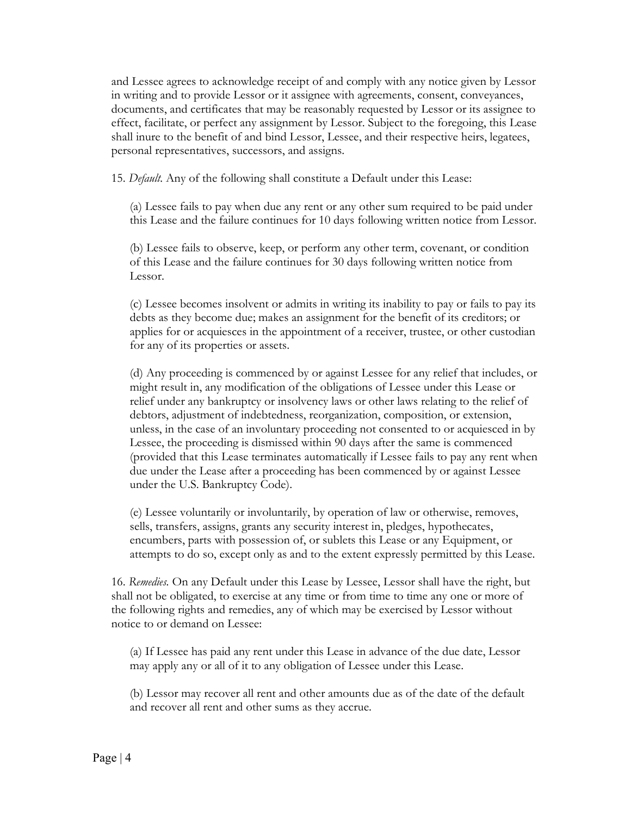and Lessee agrees to acknowledge receipt of and comply with any notice given by Lessor in writing and to provide Lessor or it assignee with agreements, consent, conveyances, documents, and certificates that may be reasonably requested by Lessor or its assignee to effect, facilitate, or perfect any assignment by Lessor. Subject to the foregoing, this Lease shall inure to the benefit of and bind Lessor, Lessee, and their respective heirs, legatees, personal representatives, successors, and assigns.

15. *Default.* Any of the following shall constitute a Default under this Lease:

(a) Lessee fails to pay when due any rent or any other sum required to be paid under this Lease and the failure continues for 10 days following written notice from Lessor.

(b) Lessee fails to observe, keep, or perform any other term, covenant, or condition of this Lease and the failure continues for 30 days following written notice from Lessor.

(c) Lessee becomes insolvent or admits in writing its inability to pay or fails to pay its debts as they become due; makes an assignment for the benefit of its creditors; or applies for or acquiesces in the appointment of a receiver, trustee, or other custodian for any of its properties or assets.

(d) Any proceeding is commenced by or against Lessee for any relief that includes, or might result in, any modification of the obligations of Lessee under this Lease or relief under any bankruptcy or insolvency laws or other laws relating to the relief of debtors, adjustment of indebtedness, reorganization, composition, or extension, unless, in the case of an involuntary proceeding not consented to or acquiesced in by Lessee, the proceeding is dismissed within 90 days after the same is commenced (provided that this Lease terminates automatically if Lessee fails to pay any rent when due under the Lease after a proceeding has been commenced by or against Lessee under the U.S. Bankruptcy Code).

(e) Lessee voluntarily or involuntarily, by operation of law or otherwise, removes, sells, transfers, assigns, grants any security interest in, pledges, hypothecates, encumbers, parts with possession of, or sublets this Lease or any Equipment, or attempts to do so, except only as and to the extent expressly permitted by this Lease.

16. *Remedies.* On any Default under this Lease by Lessee, Lessor shall have the right, but shall not be obligated, to exercise at any time or from time to time any one or more of the following rights and remedies, any of which may be exercised by Lessor without notice to or demand on Lessee:

(a) If Lessee has paid any rent under this Lease in advance of the due date, Lessor may apply any or all of it to any obligation of Lessee under this Lease.

(b) Lessor may recover all rent and other amounts due as of the date of the default and recover all rent and other sums as they accrue.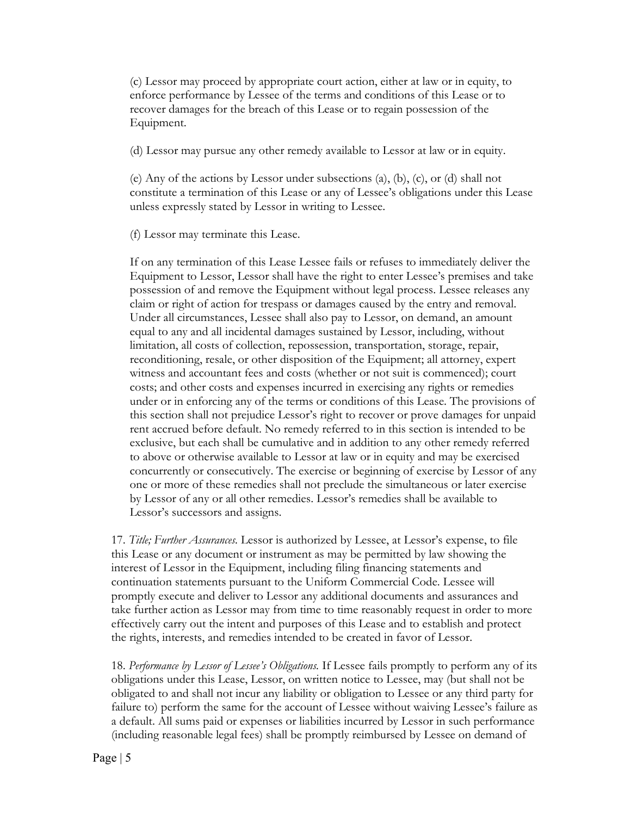(c) Lessor may proceed by appropriate court action, either at law or in equity, to enforce performance by Lessee of the terms and conditions of this Lease or to recover damages for the breach of this Lease or to regain possession of the Equipment.

(d) Lessor may pursue any other remedy available to Lessor at law or in equity.

(e) Any of the actions by Lessor under subsections (a), (b), (c), or (d) shall not constitute a termination of this Lease or any of Lessee's obligations under this Lease unless expressly stated by Lessor in writing to Lessee.

(f) Lessor may terminate this Lease.

If on any termination of this Lease Lessee fails or refuses to immediately deliver the Equipment to Lessor, Lessor shall have the right to enter Lessee's premises and take possession of and remove the Equipment without legal process. Lessee releases any claim or right of action for trespass or damages caused by the entry and removal. Under all circumstances, Lessee shall also pay to Lessor, on demand, an amount equal to any and all incidental damages sustained by Lessor, including, without limitation, all costs of collection, repossession, transportation, storage, repair, reconditioning, resale, or other disposition of the Equipment; all attorney, expert witness and accountant fees and costs (whether or not suit is commenced); court costs; and other costs and expenses incurred in exercising any rights or remedies under or in enforcing any of the terms or conditions of this Lease. The provisions of this section shall not prejudice Lessor's right to recover or prove damages for unpaid rent accrued before default. No remedy referred to in this section is intended to be exclusive, but each shall be cumulative and in addition to any other remedy referred to above or otherwise available to Lessor at law or in equity and may be exercised concurrently or consecutively. The exercise or beginning of exercise by Lessor of any one or more of these remedies shall not preclude the simultaneous or later exercise by Lessor of any or all other remedies. Lessor's remedies shall be available to Lessor's successors and assigns.

17. *Title; Further Assurances.* Lessor is authorized by Lessee, at Lessor's expense, to file this Lease or any document or instrument as may be permitted by law showing the interest of Lessor in the Equipment, including filing financing statements and continuation statements pursuant to the Uniform Commercial Code. Lessee will promptly execute and deliver to Lessor any additional documents and assurances and take further action as Lessor may from time to time reasonably request in order to more effectively carry out the intent and purposes of this Lease and to establish and protect the rights, interests, and remedies intended to be created in favor of Lessor.

18. *Performance by Lessor of Lessee's Obligations.* If Lessee fails promptly to perform any of its obligations under this Lease, Lessor, on written notice to Lessee, may (but shall not be obligated to and shall not incur any liability or obligation to Lessee or any third party for failure to) perform the same for the account of Lessee without waiving Lessee's failure as a default. All sums paid or expenses or liabilities incurred by Lessor in such performance (including reasonable legal fees) shall be promptly reimbursed by Lessee on demand of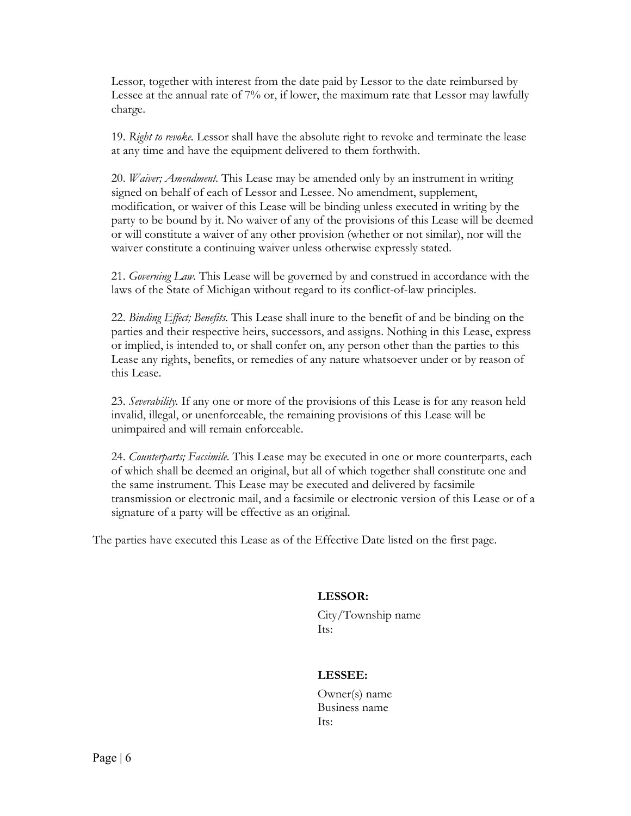Lessor, together with interest from the date paid by Lessor to the date reimbursed by Lessee at the annual rate of 7% or, if lower, the maximum rate that Lessor may lawfully charge.

19. *Right to revoke.* Lessor shall have the absolute right to revoke and terminate the lease at any time and have the equipment delivered to them forthwith.

20. *Waiver; Amendment.* This Lease may be amended only by an instrument in writing signed on behalf of each of Lessor and Lessee. No amendment, supplement, modification, or waiver of this Lease will be binding unless executed in writing by the party to be bound by it. No waiver of any of the provisions of this Lease will be deemed or will constitute a waiver of any other provision (whether or not similar), nor will the waiver constitute a continuing waiver unless otherwise expressly stated.

21. *Governing Law.* This Lease will be governed by and construed in accordance with the laws of the State of Michigan without regard to its conflict-of-law principles.

22. *Binding Effect; Benefits.* This Lease shall inure to the benefit of and be binding on the parties and their respective heirs, successors, and assigns. Nothing in this Lease, express or implied, is intended to, or shall confer on, any person other than the parties to this Lease any rights, benefits, or remedies of any nature whatsoever under or by reason of this Lease.

23. *Severability.* If any one or more of the provisions of this Lease is for any reason held invalid, illegal, or unenforceable, the remaining provisions of this Lease will be unimpaired and will remain enforceable.

24. *Counterparts; Facsimile.* This Lease may be executed in one or more counterparts, each of which shall be deemed an original, but all of which together shall constitute one and the same instrument. This Lease may be executed and delivered by facsimile transmission or electronic mail, and a facsimile or electronic version of this Lease or of a signature of a party will be effective as an original.

The parties have executed this Lease as of the Effective Date listed on the first page.

## **LESSOR:**

City/Township name Its:

## **LESSEE:**

Owner(s) name Business name Its: